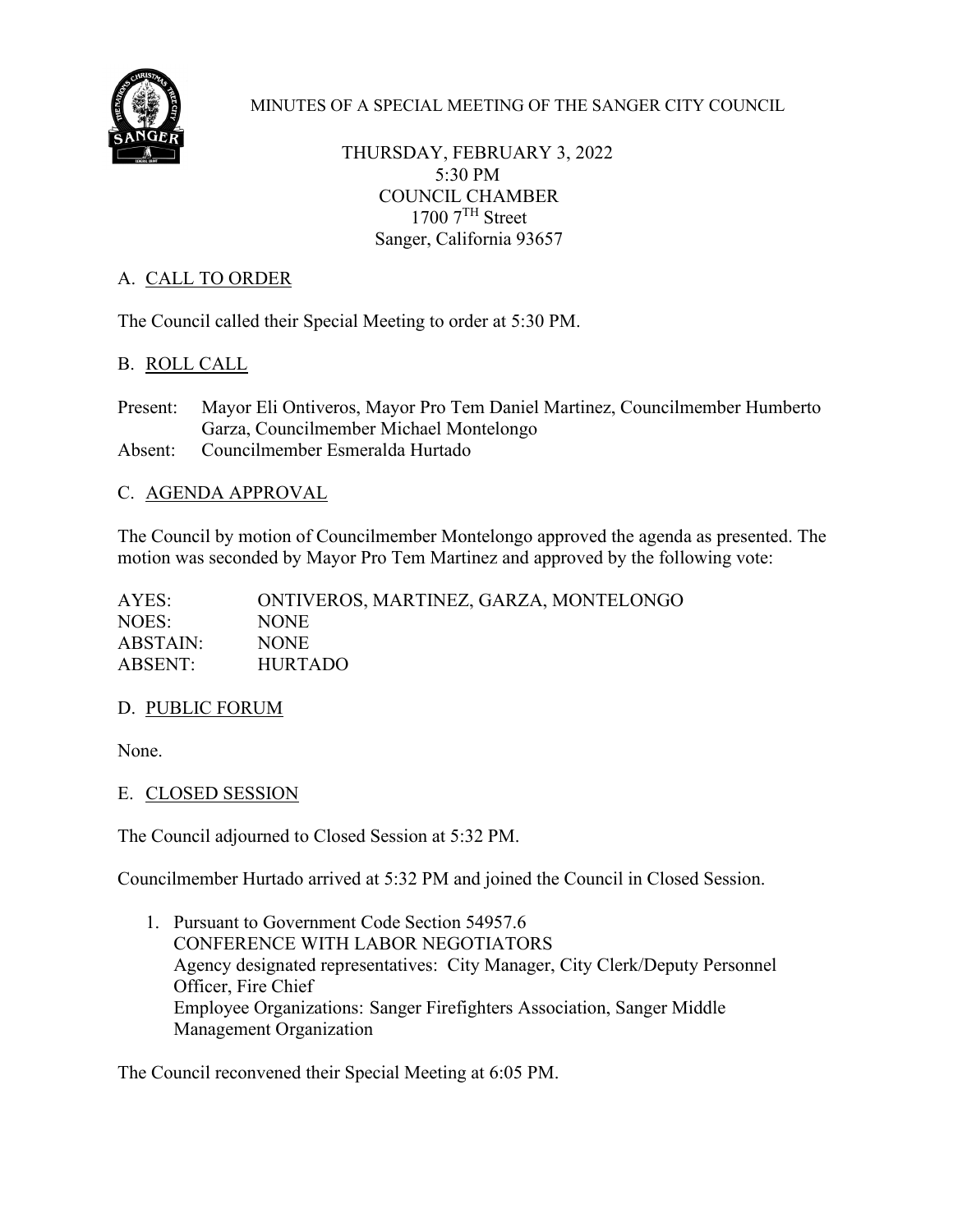

MINUTES OF A SPECIAL MEETING OF THE SANGER CITY COUNCIL

THURSDAY, FEBRUARY 3, 2022 5:30 PM COUNCIL CHAMBER  $1700$   $7<sup>TH</sup>$  Street Sanger, California 93657

# A. CALL TO ORDER

The Council called their Special Meeting to order at 5:30 PM.

# B. ROLL CALL

Present: Mayor Eli Ontiveros, Mayor Pro Tem Daniel Martinez, Councilmember Humberto Garza, Councilmember Michael Montelongo Absent: Councilmember Esmeralda Hurtado

# C. AGENDA APPROVAL

The Council by motion of Councilmember Montelongo approved the agenda as presented. The motion was seconded by Mayor Pro Tem Martinez and approved by the following vote:

| AYES:    | ONTIVEROS, MARTINEZ, GARZA, MONTELONGO |
|----------|----------------------------------------|
| NOES:    | NONE.                                  |
| ABSTAIN: | NONE.                                  |
| ABSENT:  | <b>HURTADO</b>                         |
|          |                                        |

#### D. PUBLIC FORUM

None.

#### E. CLOSED SESSION

The Council adjourned to Closed Session at 5:32 PM.

Councilmember Hurtado arrived at 5:32 PM and joined the Council in Closed Session.

1. Pursuant to Government Code Section 54957.6 CONFERENCE WITH LABOR NEGOTIATORS Agency designated representatives: City Manager, City Clerk/Deputy Personnel Officer, Fire Chief Employee Organizations: Sanger Firefighters Association, Sanger Middle Management Organization

The Council reconvened their Special Meeting at 6:05 PM.